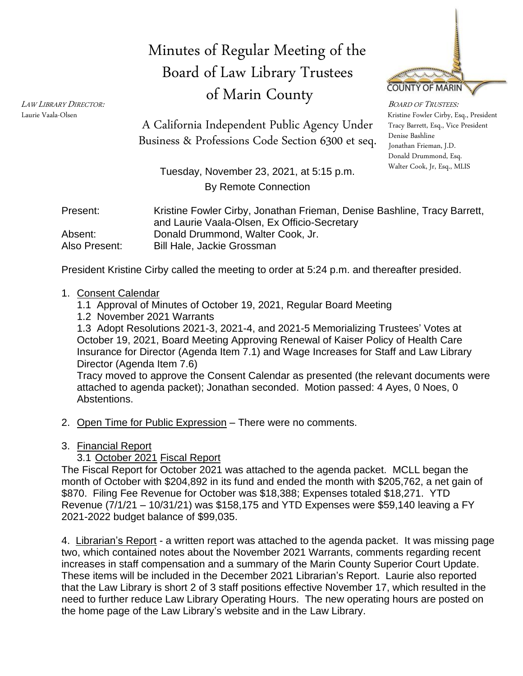# Minutes of Regular Meeting of the Board of Law Library Trustees of Marin County



Kristine Fowler Cirby, Esq., President Tracy Barrett, Esq., Vice President Denise Bashline Donald Drummond, Esq. Walter Cook, Jr, Esq., MLIS

Business & Professions Code Section 6300 et seq. Denise Bashline A California Independent Public Agency Under

> Tuesday, November 23, 2021, at 5:15 p.m. By Remote Connection

| Present:      | Kristine Fowler Cirby, Jonathan Frieman, Denise Bashline, Tracy Barrett, |
|---------------|--------------------------------------------------------------------------|
|               | and Laurie Vaala-Olsen, Ex Officio-Secretary                             |
| Absent:       | Donald Drummond, Walter Cook, Jr.                                        |
| Also Present: | <b>Bill Hale, Jackie Grossman</b>                                        |

President Kristine Cirby called the meeting to order at 5:24 p.m. and thereafter presided.

#### 1. Consent Calendar

- 1.1 Approval of Minutes of October 19, 2021, Regular Board Meeting
- 1.2 November 2021 Warrants

1.3 Adopt Resolutions 2021-3, 2021-4, and 2021-5 Memorializing Trustees' Votes at October 19, 2021, Board Meeting Approving Renewal of Kaiser Policy of Health Care Insurance for Director (Agenda Item 7.1) and Wage Increases for Staff and Law Library Director (Agenda Item 7.6)

Tracy moved to approve the Consent Calendar as presented (the relevant documents were attached to agenda packet); Jonathan seconded. Motion passed: 4 Ayes, 0 Noes, 0 Abstentions.

- 2. Open Time for Public Expression There were no comments.
- 3. Financial Report

### 3.1 October 2021 Fiscal Report

The Fiscal Report for October 2021 was attached to the agenda packet. MCLL began the month of October with \$204,892 in its fund and ended the month with \$205,762, a net gain of \$870. Filing Fee Revenue for October was \$18,388; Expenses totaled \$18,271. YTD Revenue (7/1/21 – 10/31/21) was \$158,175 and YTD Expenses were \$59,140 leaving a FY 2021-2022 budget balance of \$99,035.

4. Librarian's Report - a written report was attached to the agenda packet. It was missing page two, which contained notes about the November 2021 Warrants, comments regarding recent increases in staff compensation and a summary of the Marin County Superior Court Update. These items will be included in the December 2021 Librarian's Report. Laurie also reported that the Law Library is short 2 of 3 staff positions effective November 17, which resulted in the need to further reduce Law Library Operating Hours. The new operating hours are posted on the home page of the Law Library's website and in the Law Library.

<sup>L</sup>AW LIBRARY <sup>D</sup>IRECTOR: <sup>B</sup>OARD OF TRUSTEES: